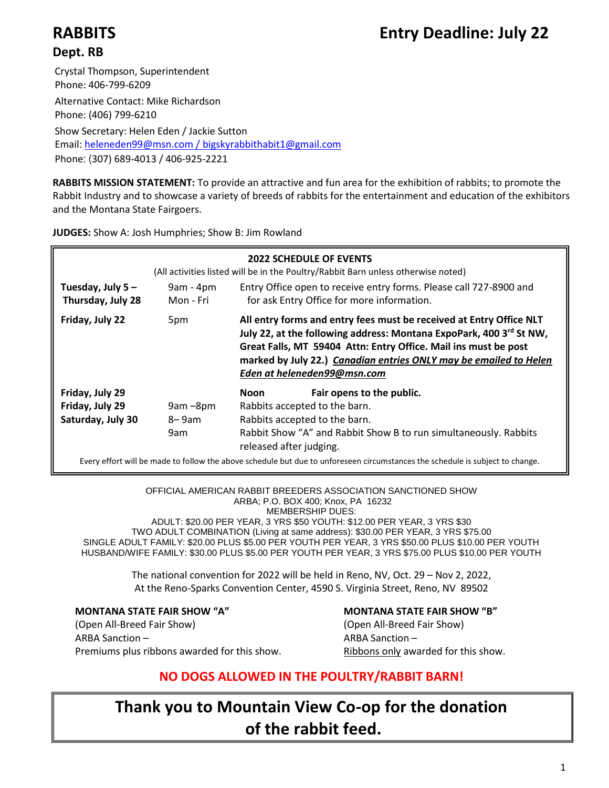# **RABBITS Entry Deadline: July 22**

# **Dept. RB**

Crystal Thompson, Superintendent Phone: 406-799-6209

Alternative Contact: Mike Richardson Phone: (406) 799-6210

Show Secretary: Helen Eden / Jackie Sutton Email: [heleneden99@msn.com /](mailto:heleneden99@msn.com%20/) bigskyrabbithabit1@gmail.com Phone: (307) 689-4013 / 406-925-2221

**RABBITS MISSION STATEMENT:** To provide an attractive and fun area for the exhibition of rabbits; to promote the Rabbit Industry and to showcase a variety of breeds of rabbits for the entertainment and education of the exhibitors and the Montana State Fairgoers.

**JUDGES:** Show A: Josh Humphries; Show B: Jim Rowland

| <b>2022 SCHEDULE OF EVENTS</b><br>(All activities listed will be in the Poultry/Rabbit Barn unless otherwise noted) |                          |                               |                                                                                                                                                                                                                                                                                                                   |
|---------------------------------------------------------------------------------------------------------------------|--------------------------|-------------------------------|-------------------------------------------------------------------------------------------------------------------------------------------------------------------------------------------------------------------------------------------------------------------------------------------------------------------|
| Tuesday, July 5-<br>Thursday, July 28                                                                               | $9am - 4pm$<br>Mon - Fri |                               | Entry Office open to receive entry forms. Please call 727-8900 and<br>for ask Entry Office for more information.                                                                                                                                                                                                  |
| Friday, July 22                                                                                                     | 5pm                      |                               | All entry forms and entry fees must be received at Entry Office NLT<br>July 22, at the following address: Montana ExpoPark, 400 3rd St NW,<br>Great Falls, MT 59404 Attn: Entry Office. Mail ins must be post<br>marked by July 22.) Canadian entries ONLY may be emailed to Helen<br>Eden at heleneden99@msn.com |
| Friday, July 29                                                                                                     |                          | Noon                          | Fair opens to the public.                                                                                                                                                                                                                                                                                         |
| Friday, July 29                                                                                                     | 9am-8pm                  | Rabbits accepted to the barn. |                                                                                                                                                                                                                                                                                                                   |
| Saturday, July 30                                                                                                   | 8–9am                    | Rabbits accepted to the barn. |                                                                                                                                                                                                                                                                                                                   |
|                                                                                                                     | 9am                      | released after judging.       | Rabbit Show "A" and Rabbit Show B to run simultaneously. Rabbits                                                                                                                                                                                                                                                  |
|                                                                                                                     |                          |                               | Every effort will be made to follow the above schedule but due to unforeseen circumstances the schedule is subject to change.                                                                                                                                                                                     |

OFFICIAL AMERICAN RABBIT BREEDERS ASSOCIATION SANCTIONED SHOW ARBA; P.O. BOX 400; Knox, PA 16232 MEMBERSHIP DUES: ADULT: \$20.00 PER YEAR, 3 YRS \$50 YOUTH: \$12.00 PER YEAR, 3 YRS \$30 TWO ADULT COMBINATION (Living at same address): \$30.00 PER YEAR, 3 YRS \$75.00

SINGLE ADULT FAMILY: \$20.00 PLUS \$5.00 PER YOUTH PER YEAR, 3 YRS \$50.00 PLUS \$10.00 PER YOUTH HUSBAND/WIFE FAMILY: \$30.00 PLUS \$5.00 PER YOUTH PER YEAR, 3 YRS \$75.00 PLUS \$10.00 PER YOUTH

> The national convention for 2022 will be held in Reno, NV, Oct. 29 – Nov 2, 2022, At the Reno-Sparks Convention Center, 4590 S. Virginia Street, Reno, NV 89502

(Open All-Breed Fair Show) (Open All-Breed Fair Show) ARBA Sanction – ARBA Sanction – ARBA Sanction – Premiums plus ribbons awarded for this show. Ribbons only awarded for this show.

**MONTANA STATE FAIR SHOW "A" MONTANA STATE FAIR SHOW "B"**

# **NO DOGS ALLOWED IN THE POULTRY/RABBIT BARN!**

**Thank you to Mountain View Co-op for the donation of the rabbit feed.**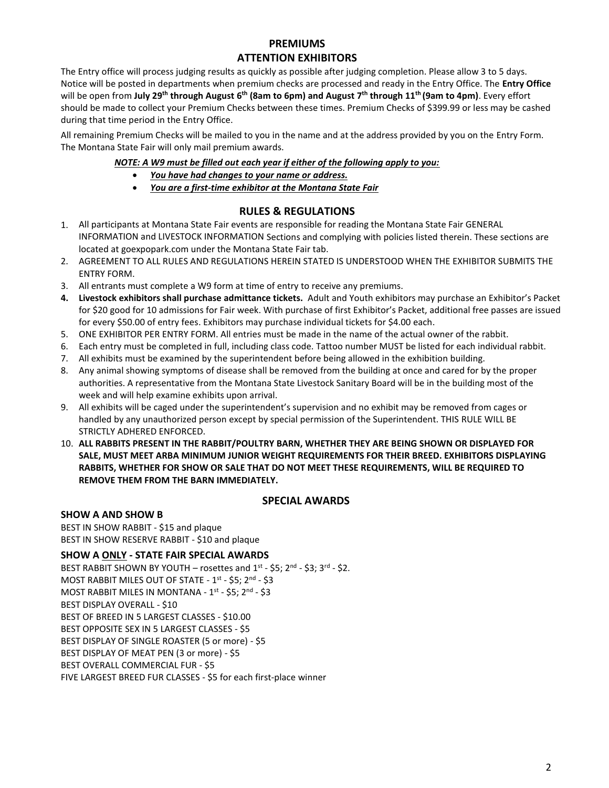# **PREMIUMS ATTENTION EXHIBITORS**

The Entry office will process judging results as quickly as possible after judging completion. Please allow 3 to 5 days. Notice will be posted in departments when premium checks are processed and ready in the Entry Office. The **Entry Office** will be open from **July 29 th through August 6 th (8am to 6pm) and August 7 th through 11th (9am to 4pm)**. Every effort should be made to collect your Premium Checks between these times. Premium Checks of \$399.99 or less may be cashed during that time period in the Entry Office.

All remaining Premium Checks will be mailed to you in the name and at the address provided by you on the Entry Form. The Montana State Fair will only mail premium awards.

#### *NOTE: A W9 must be filled out each year if either of the following apply to you:*

- *You have had changes to your name or address.*
- *You are a first-time exhibitor at the Montana State Fair*

#### **RULES & REGULATIONS**

- 1. All participants at Montana State Fair events are responsible for reading the Montana State Fair GENERAL INFORMATION and LIVESTOCK INFORMATION Sections and complying with policies listed therein. These sections are located at goexpopark.com under the Montana State Fair tab.
- 2. AGREEMENT TO ALL RULES AND REGULATIONS HEREIN STATED IS UNDERSTOOD WHEN THE EXHIBITOR SUBMITS THE ENTRY FORM.
- 3. All entrants must complete a W9 form at time of entry to receive any premiums.
- **4. Livestock exhibitors shall purchase admittance tickets.** Adult and Youth exhibitors may purchase an Exhibitor's Packet for \$20 good for 10 admissions for Fair week. With purchase of first Exhibitor's Packet, additional free passes are issued for every \$50.00 of entry fees. Exhibitors may purchase individual tickets for \$4.00 each.
- 5. ONE EXHIBITOR PER ENTRY FORM. All entries must be made in the name of the actual owner of the rabbit.
- 6. Each entry must be completed in full, including class code. Tattoo number MUST be listed for each individual rabbit.
- 7. All exhibits must be examined by the superintendent before being allowed in the exhibition building.
- 8. Any animal showing symptoms of disease shall be removed from the building at once and cared for by the proper authorities. A representative from the Montana State Livestock Sanitary Board will be in the building most of the week and will help examine exhibits upon arrival.
- 9. All exhibits will be caged under the superintendent's supervision and no exhibit may be removed from cages or handled by any unauthorized person except by special permission of the Superintendent. THIS RULE WILL BE STRICTLY ADHERED ENFORCED.
- 10. **ALL RABBITS PRESENT IN THE RABBIT/POULTRY BARN, WHETHER THEY ARE BEING SHOWN OR DISPLAYED FOR SALE, MUST MEET ARBA MINIMUM JUNIOR WEIGHT REQUIREMENTS FOR THEIR BREED. EXHIBITORS DISPLAYING RABBITS, WHETHER FOR SHOW OR SALE THAT DO NOT MEET THESE REQUIREMENTS, WILL BE REQUIRED TO REMOVE THEM FROM THE BARN IMMEDIATELY.**

#### **SPECIAL AWARDS**

#### **SHOW A AND SHOW B**

BEST IN SHOW RABBIT - \$15 and plaque BEST IN SHOW RESERVE RABBIT - \$10 and plaque

**SHOW A ONLY - STATE FAIR SPECIAL AWARDS** BEST RABBIT SHOWN BY YOUTH – rosettes and  $1^{st}$  - \$5; 2<sup>nd</sup> - \$3; 3<sup>rd</sup> - \$2. MOST RABBIT MILES OUT OF STATE - 1<sup>st</sup> - \$5; 2<sup>nd</sup> - \$3 MOST RABBIT MILES IN MONTANA - 1<sup>st</sup> - \$5; 2<sup>nd</sup> - \$3 BEST DISPLAY OVERALL - \$10 BEST OF BREED IN 5 LARGEST CLASSES - \$10.00 BEST OPPOSITE SEX IN 5 LARGEST CLASSES - \$5 BEST DISPLAY OF SINGLE ROASTER (5 or more) - \$5 BEST DISPLAY OF MEAT PEN (3 or more) - \$5 BEST OVERALL COMMERCIAL FUR - \$5 FIVE LARGEST BREED FUR CLASSES - \$5 for each first-place winner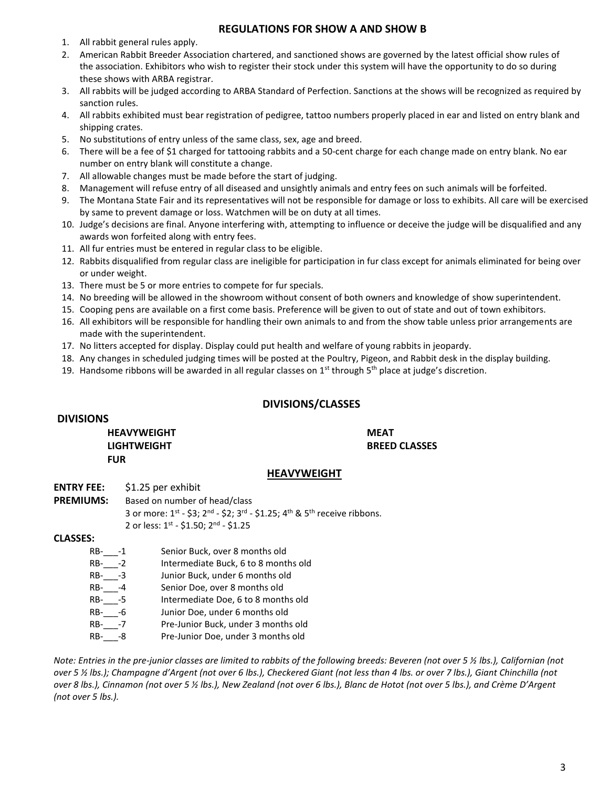#### **REGULATIONS FOR SHOW A AND SHOW B**

- 1. All rabbit general rules apply.
- 2. American Rabbit Breeder Association chartered, and sanctioned shows are governed by the latest official show rules of the association. Exhibitors who wish to register their stock under this system will have the opportunity to do so during these shows with ARBA registrar.
- 3. All rabbits will be judged according to ARBA Standard of Perfection. Sanctions at the shows will be recognized as required by sanction rules.
- 4. All rabbits exhibited must bear registration of pedigree, tattoo numbers properly placed in ear and listed on entry blank and shipping crates.
- 5. No substitutions of entry unless of the same class, sex, age and breed.
- 6. There will be a fee of \$1 charged for tattooing rabbits and a 50-cent charge for each change made on entry blank. No ear number on entry blank will constitute a change.
- 7. All allowable changes must be made before the start of judging.
- 8. Management will refuse entry of all diseased and unsightly animals and entry fees on such animals will be forfeited.
- 9. The Montana State Fair and its representatives will not be responsible for damage or loss to exhibits. All care will be exercised by same to prevent damage or loss. Watchmen will be on duty at all times.
- 10. Judge's decisions are final. Anyone interfering with, attempting to influence or deceive the judge will be disqualified and any awards won forfeited along with entry fees.
- 11. All fur entries must be entered in regular class to be eligible.
- 12. Rabbits disqualified from regular class are ineligible for participation in fur class except for animals eliminated for being over or under weight.
- 13. There must be 5 or more entries to compete for fur specials.
- 14. No breeding will be allowed in the showroom without consent of both owners and knowledge of show superintendent.
- 15. Cooping pens are available on a first come basis. Preference will be given to out of state and out of town exhibitors.
- 16. All exhibitors will be responsible for handling their own animals to and from the show table unless prior arrangements are made with the superintendent.
- 17. No litters accepted for display. Display could put health and welfare of young rabbits in jeopardy.
- 18. Any changes in scheduled judging times will be posted at the Poultry, Pigeon, and Rabbit desk in the display building.
- 19. Handsome ribbons will be awarded in all regular classes on  $1<sup>st</sup>$  through  $5<sup>th</sup>$  place at judge's discretion.

#### **DIVISIONS/CLASSES**

#### **DIVISIONS**

**HEAVYWEIGHT LIGHTWEIGHT FUR** 

**MEAT BREED CLASSES**

#### **HEAVYWEIGHT**

**ENTRY FEE:** \$1.25 per exhibit

**PREMIUMS:** Based on number of head/class 3 or more:  $1^{st}$  - \$3;  $2^{nd}$  - \$2;  $3^{rd}$  - \$1.25;  $4^{th}$  &  $5^{th}$  receive ribbons. 2 or less: 1<sup>st</sup> - \$1.50; 2<sup>nd</sup> - \$1.25

#### **CLASSES:**

RB-\_\_\_-1 Senior Buck, over 8 months old RB- -2 Intermediate Buck, 6 to 8 months old RB- -3 Junior Buck, under 6 months old RB-\_\_\_-4 Senior Doe, over 8 months old RB-\_\_\_-5 Intermediate Doe, 6 to 8 months old RB- -6 Junior Doe, under 6 months old RB-\_\_\_-7 Pre-Junior Buck, under 3 months old RB-\_\_\_-8 Pre-Junior Doe, under 3 months old

*Note: Entries in the pre-junior classes are limited to rabbits of the following breeds: Beveren (not over 5 ½ lbs.), Californian (not over 5 ½ lbs.); Champagne d'Argent (not over 6 lbs.), Checkered Giant (not less than 4 lbs. or over 7 lbs.), Giant Chinchilla (not over 8 lbs.), Cinnamon (not over 5 ½ lbs.), New Zealand (not over 6 lbs.), Blanc de Hotot (not over 5 lbs.), and Crème D'Argent (not over 5 lbs.).*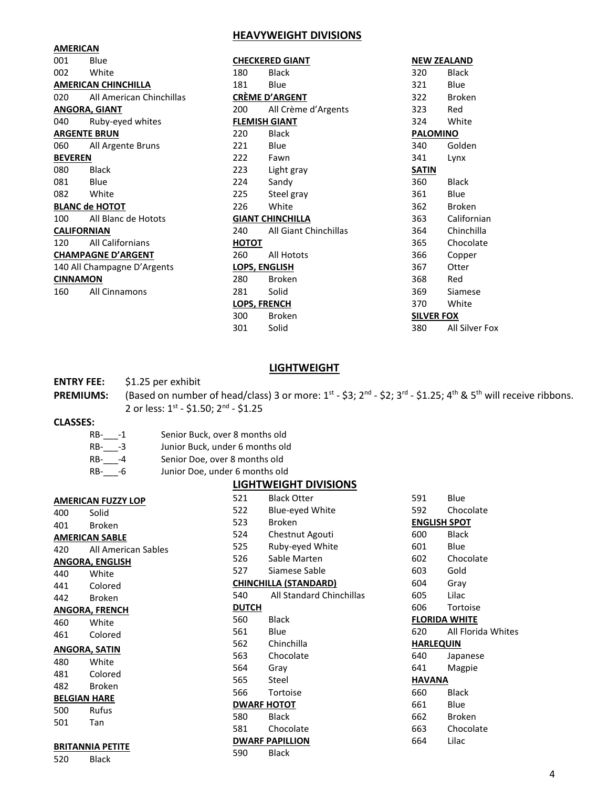#### **HEAVYWEIGHT DIVISIONS**

| <b>AMERICAN</b>       |                             |              |                         |                   |                    |
|-----------------------|-----------------------------|--------------|-------------------------|-------------------|--------------------|
| 001                   | Blue                        |              | <b>CHECKERED GIANT</b>  |                   | <b>NEW ZEALAND</b> |
| 002                   | White                       | 180          | <b>Black</b>            | 320               | <b>Black</b>       |
|                       | <b>AMERICAN CHINCHILLA</b>  | 181          | Blue                    | 321               | Blue               |
| 020                   | All American Chinchillas    |              | <b>CRÈME D'ARGENT</b>   | 322               | <b>Broken</b>      |
|                       | <b>ANGORA, GIANT</b>        | 200          | All Crème d'Argents     | 323               | Red                |
| 040                   | Ruby-eyed whites            |              | <b>FLEMISH GIANT</b>    | 324               | White              |
|                       | <b>ARGENTE BRUN</b>         | 220          | <b>Black</b>            | <b>PALOMINO</b>   |                    |
| 060                   | All Argente Bruns           | 221          | Blue                    | 340               | Golden             |
| <b>BEVEREN</b>        |                             | 222          | Fawn                    | 341               | Lynx               |
| 080                   | <b>Black</b>                | 223          | Light gray              | <b>SATIN</b>      |                    |
| 081                   | Blue                        | 224          | Sandy                   | 360               | <b>Black</b>       |
| 082                   | White                       | 225          | Steel gray              | 361               | Blue               |
| <b>BLANC de HOTOT</b> |                             | 226          | White                   | 362               | <b>Broken</b>      |
| 100                   | All Blanc de Hotots         |              | <b>GIANT CHINCHILLA</b> | 363               | Californian        |
|                       | <b>CALIFORNIAN</b>          | 240          | All Giant Chinchillas   | 364               | Chinchilla         |
| 120                   | All Californians            | <u>НОТОТ</u> |                         | 365               | Chocolate          |
|                       | <b>CHAMPAGNE D'ARGENT</b>   | 260          | All Hotots              | 366               | Copper             |
|                       | 140 All Champagne D'Argents |              | <b>LOPS, ENGLISH</b>    | 367               | Otter              |
| <b>CINNAMON</b>       |                             | 280          | <b>Broken</b>           | 368               | Red                |
| 160                   | <b>All Cinnamons</b>        | 281          | Solid                   | 369               | Siamese            |
|                       |                             |              | <b>LOPS, FRENCH</b>     | 370               | White              |
|                       |                             | 300          | <b>Broken</b>           | <b>SILVER FOX</b> |                    |
|                       |                             | 301          | Solid                   | 380               | All Silver Fox     |

#### **LIGHTWEIGHT**

#### **ENTRY FEE:** \$1.25 per exhibit

PREMIUMS: (Based on number of head/class) 3 or more: 1st - \$3; 2<sup>nd</sup> - \$2; 3<sup>rd</sup> - \$1.25; 4<sup>th</sup> & 5<sup>th</sup> will receive ribbons. 2 or less: 1<sup>st</sup> - \$1.50; 2<sup>nd</sup> - \$1.25

# **CLASSES:**

| RB- -1 | Senior Buck, over 8 months old  |
|--------|---------------------------------|
| RB- -3 | Junior Buck, under 6 months old |
|        |                                 |

RB-\_\_\_-4 Senior Doe, over 8 months old RB-\_\_\_-6 Junior Doe, under 6 months old

#### **LIGHTWEIGHT DIVISIONS**

|       | 400 Solid               |
|-------|-------------------------|
|       | 401 Broken              |
|       | <b>AMERICAN SABLE</b>   |
|       | 420 All American Sables |
|       | ANGORA, ENGLISH         |
|       | 440 White               |
|       | 441 Colored             |
|       | Broken                  |
|       | ANGORA, FRENCH          |
|       | 460 White               |
| 461 — | Colored                 |
|       | ANGORA, SATIN           |
|       | 480 White               |
|       | 481 Colored             |
|       |                         |
| 482   | <b>Broken</b>           |
|       | <b>BELGIAN HARE</b>     |
|       | 500 Rufus               |
| 501 — | Tan                     |
|       |                         |
|       | <b>BRITANNIA PETITE</b> |
| 520   | Black                   |

**AMERICAN FUZZY LOP**

| 521          | Black Otter                     |
|--------------|---------------------------------|
| 522          | <b>Blue-eyed White</b>          |
| 523          | <b>Broken</b>                   |
| 524          | Chestnut Agouti                 |
| 525          | Ruby-eyed White                 |
| 526          | Sable Marten                    |
| 527          | Siamese Sable                   |
|              | <b>CHINCHILLA (STANDARD)</b>    |
| 540          | <b>All Standard Chinchillas</b> |
| <b>DUTCH</b> |                                 |
| 560          | Black                           |
| 561          | Blue                            |
| 562          | Chinchilla                      |
| 563          | Chocolate                       |
| 564          | Grav                            |
| 565 —        | Steel                           |
| 566          | Tortoise                        |
|              | <b>DWARF HOTOT</b>              |
| 580          | <b>Black</b>                    |
| 581          | Chocolate                       |
|              | <b>DWARF PAPILLION</b>          |
| 590 —        | <b>Black</b>                    |
|              |                                 |

| 591       | Blue                 |
|-----------|----------------------|
| 592       | Chocolate            |
|           | ENGLISH SPOT         |
| 600       | Black                |
| 601       | Blue                 |
| 602       | Chocolate            |
| 603       | Gold                 |
| 604       | Gray                 |
| 605       | Lilac                |
| 606       | Tortoise             |
|           | <b>FLORIDA WHITE</b> |
| 620       | All Florida Whites   |
| HARLEQUIN |                      |
| 640       | Japanese             |
| 641       | Magpie               |
| HAVANA    |                      |
| 660       | Black                |
| 661       | Blue                 |
| 662       | <b>Broken</b>        |
| 663       | Chocolate            |
| 664       | Lilac                |
|           |                      |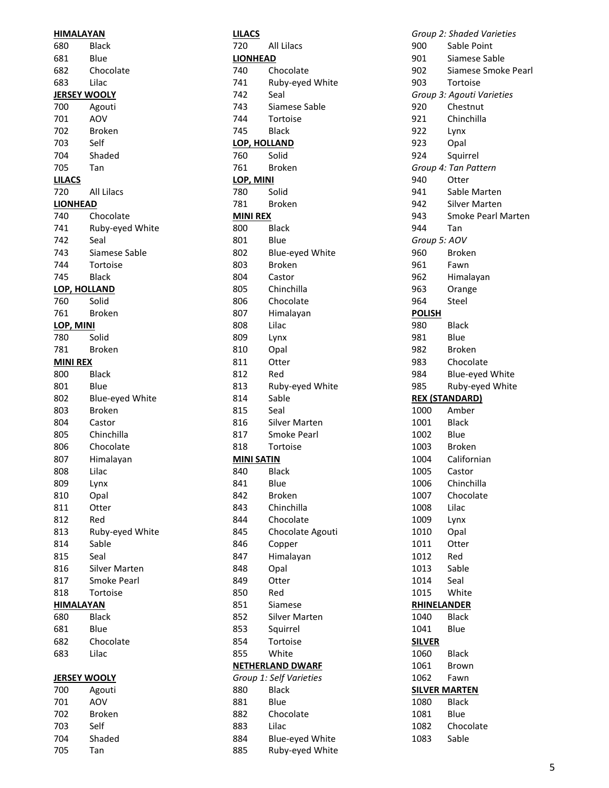| <b>HIMALAYAN</b>    |                    |
|---------------------|--------------------|
| 680                 | <b>Black</b>       |
| 681                 | Blue               |
| 682                 | Chocolate          |
| 683                 | Lilac              |
| <b>JERSEY WOOLY</b> |                    |
| 700                 | Agouti             |
| 701                 | AOV                |
| 702                 | Broken             |
| 703                 | Self               |
| 704                 | Shaded             |
| 705                 | Tan                |
|                     |                    |
| <u>LILACS</u>       |                    |
| 720                 | All Lilacs         |
| <b>LIONHEAD</b>     |                    |
| 740                 | Chocolate          |
| 741                 | Ruby-eyed White    |
| 742                 | Seal               |
| 743                 | Siamese Sable      |
| 744                 | Tortoise           |
| 745                 | <b>Black</b>       |
| <u>LOP, HOLLAND</u> |                    |
| 760                 | Solid              |
| 761                 | Broken             |
| LOP, MINI           |                    |
| 780                 | Solid              |
| 781                 | Broken             |
| <b>MINI REX</b>     |                    |
| 800                 | Black              |
| 801                 | Blue               |
| 802                 | Blue-eyed White    |
| 803                 | <b>Broken</b>      |
| 804                 | Castor             |
| 805                 | Chinchilla         |
| 806                 | Chocolate          |
| 807                 | Himalayan          |
| 808                 | Lilac              |
| 809                 | Lynx               |
| 810                 | Opal               |
| 811                 | Otter              |
| 812                 | Red                |
|                     | Ruby-eyed White    |
| 813                 |                    |
| 814                 | Sable              |
| 815                 | Seal               |
| 816                 | Silver Marten      |
| 817                 | <b>Smoke Pearl</b> |
| 818                 | Tortoise           |
| <b>HIMALAYAN</b>    |                    |
| 680                 | Black              |
| 681                 | Blue               |
| 682                 | Chocolate          |
| 683                 | Lilac              |
| <b>JERSEY WOOLY</b> |                    |
| 700                 | Agouti             |
| 701                 | AOV                |
|                     |                    |
| 702                 | <b>Broken</b>      |
| 703                 | Self               |
| 704                 | Shaded             |
| 705                 | Tan                |

| <u>LILACS</u>       |                         |
|---------------------|-------------------------|
| 720                 | <b>All Lilacs</b>       |
| <b>LIONHEAD</b>     |                         |
| 740                 | Chocolate               |
| 741                 | Ruby-eyed White         |
| 742                 | Seal                    |
| 743                 | Siamese Sable           |
| 744                 | Tortoise                |
| 745                 | Black                   |
| <u>LOP, HOLLAND</u> |                         |
| 760                 | Solid                   |
| 761                 | Broken                  |
| LOP, MINI           |                         |
| 780                 | Solid                   |
| 781                 | Broken                  |
| <u>MINI REX</u>     |                         |
| 800                 | <b>Black</b>            |
| 801                 | Blue                    |
| 802                 | Blue-eyed White         |
| 803                 | <b>Broken</b>           |
| 804                 | Castor                  |
| 805                 | Chinchilla              |
| 806                 | Chocolate               |
| 807                 | Himalayan               |
| 808                 | Lilac                   |
| 809                 | Lynx                    |
| 810                 | Opal                    |
| 811                 | Otter                   |
| 812                 | Red                     |
| 813                 | Ruby-eyed White         |
| 814                 | Sable                   |
| 815                 | Seal                    |
| 816                 | <b>Silver Marten</b>    |
| 817                 | Smoke Pearl             |
| 818                 | Tortoise                |
| <b>MINI SATIN</b>   |                         |
| 840                 | Black                   |
| 841                 | Blue                    |
| 842                 | <b>Broken</b>           |
|                     | Chinchilla              |
| 843                 |                         |
| 844                 | Chocolate               |
| 845                 | Chocolate Agouti        |
| 846                 | Copper                  |
| 847                 | Himalayan               |
| 848                 | Opal                    |
| 849                 | Otter                   |
| 850                 | Red                     |
| 851                 | Siamese                 |
| 852                 | <b>Silver Marten</b>    |
| 853                 | Squirrel                |
| 854                 | Tortoise                |
| 855                 | White                   |
|                     | <u>NETHERLAND DWARF</u> |
|                     | Group 1: Self Varieties |
| 880                 | <b>Black</b>            |
| 881                 | Blue                    |
| 882                 | Chocolate               |
| 883                 | Lilac                   |
| 884                 | Blue-eyed White         |
| 885                 | Ruby-eyed White         |

|                      | Group 2: Shaded Varieties |
|----------------------|---------------------------|
| 900                  | Sable Point               |
| 901                  | Siamese Sable             |
| 902                  | Siamese Smoke Pearl       |
| 903                  | Tortoise                  |
|                      | Group 3: Agouti Varieties |
| 920                  | Chestnut                  |
|                      |                           |
| 921                  | Chinchilla                |
| 922                  | Lynx                      |
| 923                  | Opal                      |
| 924                  | Squirrel                  |
|                      | Group 4: Tan Pattern      |
| 940                  | Otter                     |
| 941                  | Sable Marten              |
| 942                  | <b>Silver Marten</b>      |
| 943                  | Smoke Pearl Marten        |
| 944                  | Tan                       |
|                      |                           |
| Group 5: AOV         |                           |
| 960                  | <b>Broken</b>             |
| 961                  | Fawn                      |
| 962                  | Himalayan                 |
| 963                  | Orange                    |
| 964                  | Steel                     |
| <u>POLISH</u>        |                           |
| 980                  | <b>Black</b>              |
| 981                  | Blue                      |
| 982                  | Broken                    |
|                      |                           |
| 983                  | Chocolate                 |
| 984                  | Blue-eyed White           |
|                      |                           |
| 985                  | Ruby-eyed White           |
|                      | <b>REX (STANDARD)</b>     |
| 1000                 | Amber                     |
| 1001                 | Black                     |
| 1002                 | Blue                      |
|                      |                           |
| 1003                 | Broken                    |
| 1004                 | Californian               |
| 1005                 | Castor                    |
| 1006                 | Chinchilla                |
| 1007                 | Chocolate                 |
| 1008                 | Lilac                     |
| 1009                 | Lynx                      |
| 1010                 | Opal                      |
| 1011                 | Otter                     |
| 1012                 | Red                       |
|                      |                           |
| 1013                 | Sable                     |
| 1014                 | Seal                      |
| 1015                 | White                     |
| <b>RHINELANDER</b>   |                           |
| 1040                 | Black                     |
| 1041                 | Blue                      |
| <b>SILVER</b>        |                           |
| 1060                 | Black                     |
| 1061                 | Brown                     |
| 1062                 | Fawn                      |
|                      |                           |
| <b>SILVER MARTEN</b> |                           |
| 1080                 | Black                     |
| 1081                 | Blue                      |
| 1082<br>1083         | Chocolate<br>Sable        |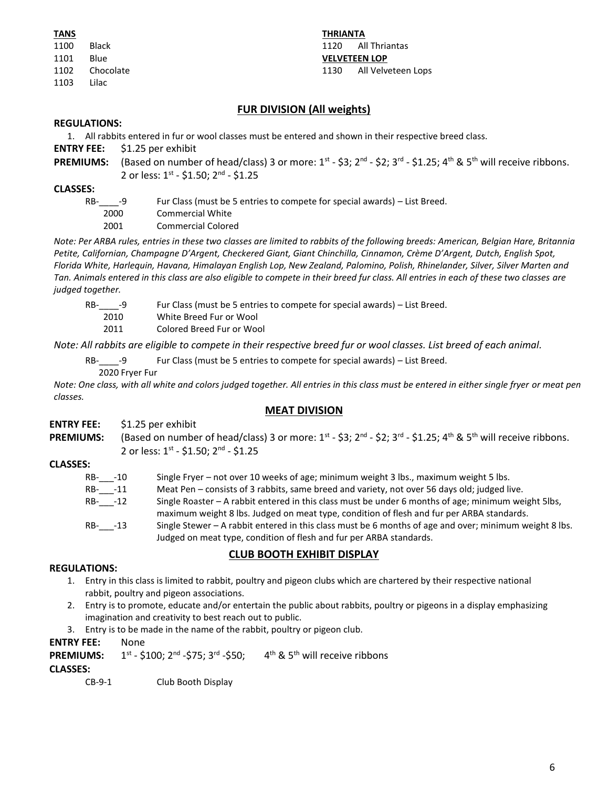| TANS |           |
|------|-----------|
| 1100 | Black     |
| 1101 | Blue      |
| 1102 | Chocolate |
| 1103 | Lilac     |

**THRIANTA** 1120 All Thriantas **VELVETEEN LOP** 1130 All Velveteen Lops

# **FUR DIVISION (All weights)**

#### **REGULATIONS:**

- 1. All rabbits entered in fur or wool classes must be entered and shown in their respective breed class.
- **ENTRY FEE:** \$1.25 per exhibit
- **PREMIUMS:** (Based on number of head/class) 3 or more: 1<sup>st</sup> \$3; 2<sup>nd</sup> \$2; 3<sup>rd</sup> \$1.25; 4<sup>th</sup> & 5<sup>th</sup> will receive ribbons. 2 or less: 1<sup>st</sup> - \$1.50; 2<sup>nd</sup> - \$1.25

#### **CLASSES:**

| RB-<br>- 4 | Fur Class (must be 5 entries to compete for special awards) – List Breed. |
|------------|---------------------------------------------------------------------------|
| 2000       | Commercial White                                                          |
| 2001       | Commercial Colored                                                        |

*Note: Per ARBA rules, entries in these two classes are limited to rabbits of the following breeds: American, Belgian Hare, Britannia Petite, Californian, Champagne D'Argent, Checkered Giant, Giant Chinchilla, Cinnamon, Crème D'Argent, Dutch, English Spot, Florida White, Harlequin, Havana, Himalayan English Lop, New Zealand, Palomino, Polish, Rhinelander, Silver, Silver Marten and Tan. Animals entered in this class are also eligible to compete in their breed fur class. All entries in each of these two classes are judged together.*

RB-\_\_\_\_-9 Fur Class (must be 5 entries to compete for special awards) – List Breed.

2010 White Breed Fur or Wool

2011 Colored Breed Fur or Wool

*Note: All rabbits are eligible to compete in their respective breed fur or wool classes. List breed of each animal.*

RB- -9 Fur Class (must be 5 entries to compete for special awards) – List Breed.

2020 Fryer Fur

*Note: One class, with all white and colors judged together. All entries in this class must be entered in either single fryer or meat pen classes.*

# **MEAT DIVISION**

| <b>ENTRY FEE:</b> \$1.25 per exhibit                                                                                                                     |
|----------------------------------------------------------------------------------------------------------------------------------------------------------|
| <b>PREMIUMS:</b> (Based on number of head/class) 3 or more: $1^{st}$ - \$3; $2^{nd}$ - \$2; $3^{rd}$ - \$1.25; $4^{th}$ & $5^{th}$ will receive ribbons. |
| 2 or less: $1^{st}$ - \$1.50; $2^{nd}$ - \$1.25                                                                                                          |

#### **CLASSES:**

| RB- -10 | Single Fryer - not over 10 weeks of age; minimum weight 3 lbs., maximum weight 5 lbs.                                                                                                            |
|---------|--------------------------------------------------------------------------------------------------------------------------------------------------------------------------------------------------|
| RB- -11 | Meat Pen – consists of 3 rabbits, same breed and variety, not over 56 days old; judged live.                                                                                                     |
| RB- -12 | Single Roaster – A rabbit entered in this class must be under 6 months of age; minimum weight 5lbs,<br>maximum weight 8 lbs. Judged on meat type, condition of flesh and fur per ARBA standards. |
| RB- -13 | Single Stewer – A rabbit entered in this class must be 6 months of age and over; minimum weight 8 lbs.<br>Judged on meat type, condition of flesh and fur per ARBA standards.                    |

# **CLUB BOOTH EXHIBIT DISPLAY**

#### **REGULATIONS:**

- 1. Entry in this class is limited to rabbit, poultry and pigeon clubs which are chartered by their respective national rabbit, poultry and pigeon associations.
- 2. Entry is to promote, educate and/or entertain the public about rabbits, poultry or pigeons in a display emphasizing imagination and creativity to best reach out to public.
- 3. Entry is to be made in the name of the rabbit, poultry or pigeon club.

#### **ENTRY FEE:** None

**PREMIUMS:**  $^{\rm st}$  - \$100; 2 $^{\rm nd}$  -\$75; 3 $^{\rm rd}$  -\$50;  $\qquad$  4 $^{\rm th}$  & 5 $^{\rm th}$  will receive ribbons

# **CLASSES:**

CB-9-1 Club Booth Display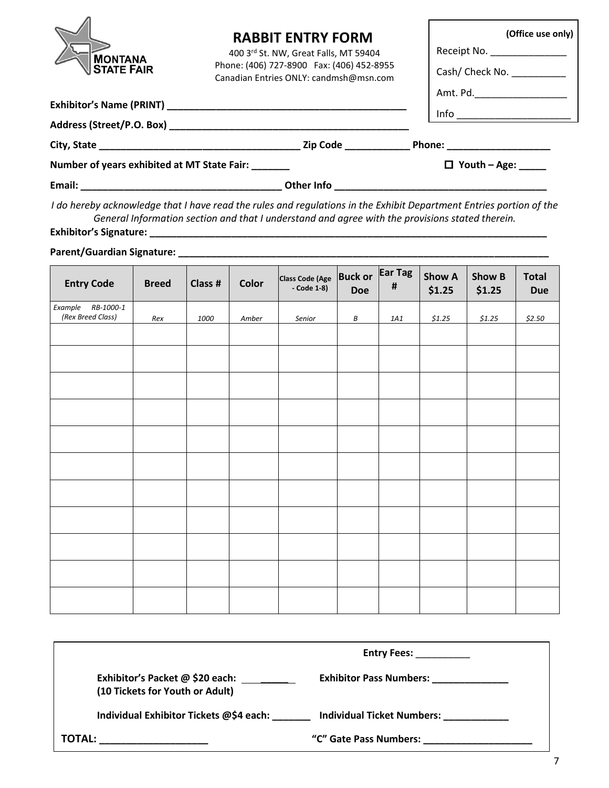| <b>MONTANA</b><br><b>STATE FAIR</b>                 | <b>RABBIT ENTRY FORM</b><br>400 3rd St. NW, Great Falls, MT 59404<br>Phone: (406) 727-8900 Fax: (406) 452-8955<br>Canadian Entries ONLY: candmsh@msn.com | (Office use only)<br>Receipt No. ______________<br>Cash/ Check No.<br>Amt. Pd._______________________                                                                                                                                                                                                                                               |
|-----------------------------------------------------|----------------------------------------------------------------------------------------------------------------------------------------------------------|-----------------------------------------------------------------------------------------------------------------------------------------------------------------------------------------------------------------------------------------------------------------------------------------------------------------------------------------------------|
|                                                     |                                                                                                                                                          |                                                                                                                                                                                                                                                                                                                                                     |
|                                                     |                                                                                                                                                          | $\begin{picture}(20,10) \put(0,0){\line(1,0){10}} \put(15,0){\line(1,0){10}} \put(15,0){\line(1,0){10}} \put(15,0){\line(1,0){10}} \put(15,0){\line(1,0){10}} \put(15,0){\line(1,0){10}} \put(15,0){\line(1,0){10}} \put(15,0){\line(1,0){10}} \put(15,0){\line(1,0){10}} \put(15,0){\line(1,0){10}} \put(15,0){\line(1,0){10}} \put(15,0){\line(1$ |
|                                                     |                                                                                                                                                          |                                                                                                                                                                                                                                                                                                                                                     |
| Number of years exhibited at MT State Fair: _______ | $\Box$ Youth - Age: _____                                                                                                                                |                                                                                                                                                                                                                                                                                                                                                     |
| Email:                                              | Other Info                                                                                                                                               |                                                                                                                                                                                                                                                                                                                                                     |

*I do hereby acknowledge that I have read the rules and regulations in the Exhibit Department Entries portion of the General Information section and that I understand and agree with the provisions stated therein.*

**Exhibitor's Signature: \_\_\_\_\_\_\_\_\_\_\_\_\_\_\_\_\_\_\_\_\_\_\_\_\_\_\_\_\_\_\_\_\_\_\_\_\_\_\_\_\_\_\_\_\_\_\_\_\_\_\_\_\_\_\_\_\_\_\_\_\_\_\_\_\_\_\_\_\_\_\_\_\_**

**Parent/Guardian Signature: \_\_\_\_\_\_\_\_\_\_\_\_\_\_\_\_\_\_\_\_\_\_\_\_\_\_\_\_\_\_\_\_\_\_\_\_\_\_\_\_\_\_\_\_\_\_\_\_\_\_\_\_\_\_\_\_\_\_\_\_\_\_\_\_\_\_\_\_**

| <b>Entry Code</b>                      | <b>Breed</b> | Class # | <b>Color</b> | <b>Class Code (Age</b><br>- Code $1-8$ ) | <b>Buck or</b><br><b>Doe</b> | Ear Tag<br>$\pmb{\sharp}$ | <b>Show A</b><br>\$1.25 | <b>Show B</b><br>\$1.25 | <b>Total</b><br><b>Due</b> |
|----------------------------------------|--------------|---------|--------------|------------------------------------------|------------------------------|---------------------------|-------------------------|-------------------------|----------------------------|
| Example RB-1000-1<br>(Rex Breed Class) | Rex          | 1000    | Amber        | Senior                                   | В                            | $1A1$                     | \$1.25                  | \$1.25                  | \$2.50                     |
|                                        |              |         |              |                                          |                              |                           |                         |                         |                            |
|                                        |              |         |              |                                          |                              |                           |                         |                         |                            |
|                                        |              |         |              |                                          |                              |                           |                         |                         |                            |
|                                        |              |         |              |                                          |                              |                           |                         |                         |                            |
|                                        |              |         |              |                                          |                              |                           |                         |                         |                            |
|                                        |              |         |              |                                          |                              |                           |                         |                         |                            |
|                                        |              |         |              |                                          |                              |                           |                         |                         |                            |
|                                        |              |         |              |                                          |                              |                           |                         |                         |                            |
|                                        |              |         |              |                                          |                              |                           |                         |                         |                            |
|                                        |              |         |              |                                          |                              |                           |                         |                         |                            |
|                                        |              |         |              |                                          |                              |                           |                         |                         |                            |

|               | <b>Entry Fees:</b>                                                                                           |  |
|---------------|--------------------------------------------------------------------------------------------------------------|--|
|               | Exhibitor's Packet @ \$20 each: _______<br><b>Exhibitor Pass Numbers:</b><br>(10 Tickets for Youth or Adult) |  |
|               | Individual Exhibitor Tickets @\$4 each:<br><b>Individual Ticket Numbers:</b>                                 |  |
| <b>TOTAL:</b> | "C" Gate Pass Numbers:                                                                                       |  |